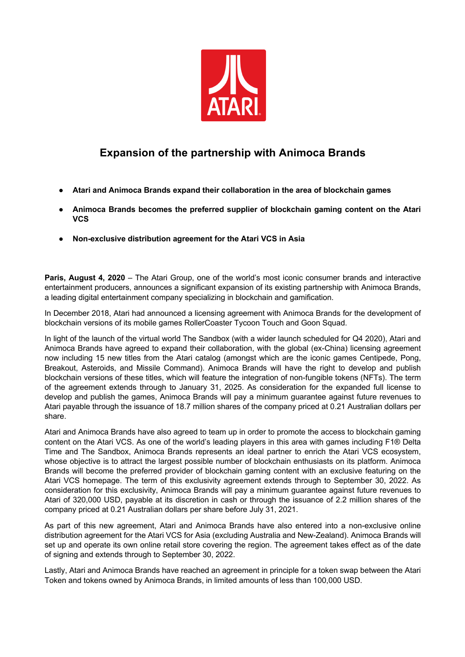

## **Expansion of the partnership with Animoca Brands**

- **Atari and Animoca Brands expand their collaboration in the area of blockchain games**
- **Animoca Brands becomes the preferred supplier of blockchain gaming content on the Atari VCS**
- **Non-exclusive distribution agreement for the Atari VCS in Asia**

**Paris, August 4, 2020** – The Atari Group, one of the world's most iconic consumer brands and interactive entertainment producers, announces a significant expansion of its existing partnership with Animoca Brands, a leading digital entertainment company specializing in blockchain and gamification.

In December 2018, Atari had announced a licensing agreement with Animoca Brands for the development of blockchain versions of its mobile games RollerCoaster Tycoon Touch and Goon Squad.

In light of the launch of the virtual world The Sandbox (with a wider launch scheduled for Q4 2020), Atari and Animoca Brands have agreed to expand their collaboration, with the global (ex-China) licensing agreement now including 15 new titles from the Atari catalog (amongst which are the iconic games Centipede, Pong, Breakout, Asteroids, and Missile Command). Animoca Brands will have the right to develop and publish blockchain versions of these titles, which will feature the integration of non-fungible tokens (NFTs). The term of the agreement extends through to January 31, 2025. As consideration for the expanded full license to develop and publish the games, Animoca Brands will pay a minimum guarantee against future revenues to Atari payable through the issuance of 18.7 million shares of the company priced at 0.21 Australian dollars per share.

Atari and Animoca Brands have also agreed to team up in order to promote the access to blockchain gaming content on the Atari VCS. As one of the world's leading players in this area with games including F1® Delta Time and The Sandbox, Animoca Brands represents an ideal partner to enrich the Atari VCS ecosystem, whose objective is to attract the largest possible number of blockchain enthusiasts on its platform. Animoca Brands will become the preferred provider of blockchain gaming content with an exclusive featuring on the Atari VCS homepage. The term of this exclusivity agreement extends through to September 30, 2022. As consideration for this exclusivity, Animoca Brands will pay a minimum guarantee against future revenues to Atari of 320,000 USD, payable at its discretion in cash or through the issuance of 2.2 million shares of the company priced at 0.21 Australian dollars per share before July 31, 2021.

As part of this new agreement, Atari and Animoca Brands have also entered into a non-exclusive online distribution agreement for the Atari VCS for Asia (excluding Australia and New-Zealand). Animoca Brands will set up and operate its own online retail store covering the region. The agreement takes effect as of the date of signing and extends through to September 30, 2022.

Lastly, Atari and Animoca Brands have reached an agreement in principle for a token swap between the Atari Token and tokens owned by Animoca Brands, in limited amounts of less than 100,000 USD.